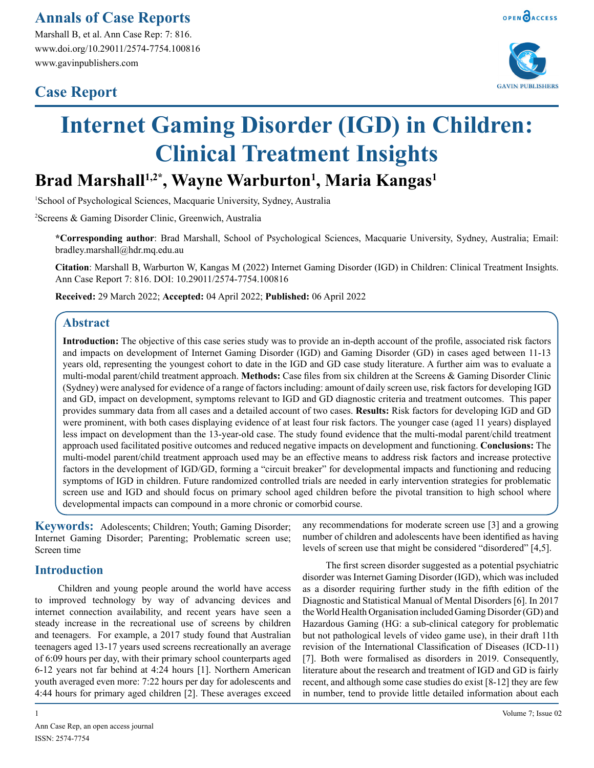Marshall B, et al. Ann Case Rep: 7: 816. www.doi.org/10.29011/2574-7754.100816 www.gavinpublishers.com

# **Case Report**



# **Internet Gaming Disorder (IGD) in Children: Clinical Treatment Insights**

# **Brad Marshall1,2\*, Wayne Warburton1 , Maria Kangas1**

1 School of Psychological Sciences, Macquarie University, Sydney, Australia

2 Screens & Gaming Disorder Clinic, Greenwich, Australia

**\*Corresponding author**: Brad Marshall, School of Psychological Sciences, Macquarie University, Sydney, Australia; Email: bradley.marshall@hdr.mq.edu.au

**Citation**: Marshall B, Warburton W, Kangas M (2022) Internet Gaming Disorder (IGD) in Children: Clinical Treatment Insights. Ann Case Report 7: 816. DOI: 10.29011/2574-7754.100816

**Received:** 29 March 2022; **Accepted:** 04 April 2022; **Published:** 06 April 2022

# **Abstract**

**Introduction:** The objective of this case series study was to provide an in-depth account of the profile, associated risk factors and impacts on development of Internet Gaming Disorder (IGD) and Gaming Disorder (GD) in cases aged between 11-13 years old, representing the youngest cohort to date in the IGD and GD case study literature. A further aim was to evaluate a multi-modal parent/child treatment approach. **Methods:** Case files from six children at the Screens & Gaming Disorder Clinic (Sydney) were analysed for evidence of a range of factors including: amount of daily screen use, risk factors for developing IGD and GD, impact on development, symptoms relevant to IGD and GD diagnostic criteria and treatment outcomes. This paper provides summary data from all cases and a detailed account of two cases. **Results:** Risk factors for developing IGD and GD were prominent, with both cases displaying evidence of at least four risk factors. The younger case (aged 11 years) displayed less impact on development than the 13-year-old case. The study found evidence that the multi-modal parent/child treatment approach used facilitated positive outcomes and reduced negative impacts on development and functioning. **Conclusions:** The multi-model parent/child treatment approach used may be an effective means to address risk factors and increase protective factors in the development of IGD/GD, forming a "circuit breaker" for developmental impacts and functioning and reducing symptoms of IGD in children. Future randomized controlled trials are needed in early intervention strategies for problematic screen use and IGD and should focus on primary school aged children before the pivotal transition to high school where developmental impacts can compound in a more chronic or comorbid course.

**Keywords:** Adolescents; Children; Youth; Gaming Disorder; Internet Gaming Disorder; Parenting; Problematic screen use; Screen time

# **Introduction**

Children and young people around the world have access to improved technology by way of advancing devices and internet connection availability, and recent years have seen a steady increase in the recreational use of screens by children and teenagers. For example, a 2017 study found that Australian teenagers aged 13-17 years used screens recreationally an average of 6:09 hours per day, with their primary school counterparts aged 6-12 years not far behind at 4:24 hours [1]. Northern American youth averaged even more: 7:22 hours per day for adolescents and 4:44 hours for primary aged children [2]. These averages exceed

any recommendations for moderate screen use [3] and a growing number of children and adolescents have been identified as having levels of screen use that might be considered "disordered" [4,5].

The first screen disorder suggested as a potential psychiatric disorder was Internet Gaming Disorder (IGD), which was included as a disorder requiring further study in the fifth edition of the Diagnostic and Statistical Manual of Mental Disorders [6]. In 2017 the World Health Organisation included Gaming Disorder (GD) and Hazardous Gaming (HG: a sub-clinical category for problematic but not pathological levels of video game use), in their draft 11th revision of the International Classification of Diseases (ICD-11) [7]. Both were formalised as disorders in 2019. Consequently, literature about the research and treatment of IGD and GD is fairly recent, and although some case studies do exist [8-12] they are few in number, tend to provide little detailed information about each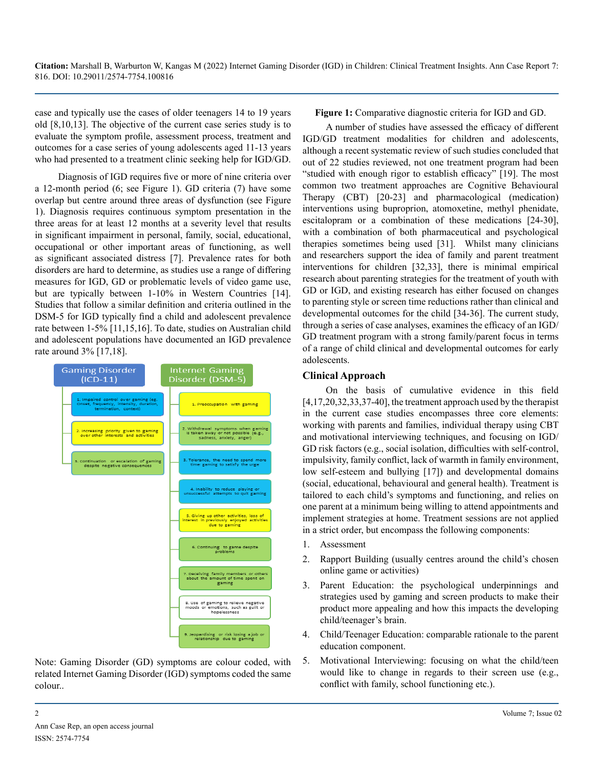case and typically use the cases of older teenagers 14 to 19 years old [8,10,13]. The objective of the current case series study is to evaluate the symptom profile, assessment process, treatment and outcomes for a case series of young adolescents aged 11-13 years who had presented to a treatment clinic seeking help for IGD/GD.

Diagnosis of IGD requires five or more of nine criteria over a 12-month period (6; see Figure 1). GD criteria (7) have some overlap but centre around three areas of dysfunction (see Figure 1). Diagnosis requires continuous symptom presentation in the three areas for at least 12 months at a severity level that results in significant impairment in personal, family, social, educational, occupational or other important areas of functioning, as well as significant associated distress [7]. Prevalence rates for both disorders are hard to determine, as studies use a range of differing measures for IGD, GD or problematic levels of video game use, but are typically between 1-10% in Western Countries [14]. Studies that follow a similar definition and criteria outlined in the DSM-5 for IGD typically find a child and adolescent prevalence rate between 1-5% [11,15,16]. To date, studies on Australian child and adolescent populations have documented an IGD prevalence rate around 3% [17,18].



Note: Gaming Disorder (GD) symptoms are colour coded, with related Internet Gaming Disorder (IGD) symptoms coded the same colour..

**Figure 1:** Comparative diagnostic criteria for IGD and GD.

A number of studies have assessed the efficacy of different IGD/GD treatment modalities for children and adolescents, although a recent systematic review of such studies concluded that out of 22 studies reviewed, not one treatment program had been "studied with enough rigor to establish efficacy" [19]. The most common two treatment approaches are Cognitive Behavioural Therapy (CBT) [20-23] and pharmacological (medication) interventions using buproprion, atomoxetine, methyl phenidate, escitalopram or a combination of these medications [24-30], with a combination of both pharmaceutical and psychological therapies sometimes being used [31]. Whilst many clinicians and researchers support the idea of family and parent treatment interventions for children [32,33], there is minimal empirical research about parenting strategies for the treatment of youth with GD or IGD, and existing research has either focused on changes to parenting style or screen time reductions rather than clinical and developmental outcomes for the child [34-36]. The current study, through a series of case analyses, examines the efficacy of an IGD/ GD treatment program with a strong family/parent focus in terms of a range of child clinical and developmental outcomes for early adolescents.

## **Clinical Approach**

On the basis of cumulative evidence in this field  $[4,17,20,32,33,37-40]$ , the treatment approach used by the therapist in the current case studies encompasses three core elements: working with parents and families, individual therapy using CBT and motivational interviewing techniques, and focusing on IGD/ GD risk factors (e.g., social isolation, difficulties with self-control, impulsivity, family conflict, lack of warmth in family environment, low self-esteem and bullying [17]) and developmental domains (social, educational, behavioural and general health). Treatment is tailored to each child's symptoms and functioning, and relies on one parent at a minimum being willing to attend appointments and implement strategies at home. Treatment sessions are not applied in a strict order, but encompass the following components:

- 1. Assessment
- 2. Rapport Building (usually centres around the child's chosen online game or activities)
- 3. Parent Education: the psychological underpinnings and strategies used by gaming and screen products to make their product more appealing and how this impacts the developing child/teenager's brain.
- 4. Child/Teenager Education: comparable rationale to the parent education component.
- 5. Motivational Interviewing: focusing on what the child/teen would like to change in regards to their screen use (e.g., conflict with family, school functioning etc.).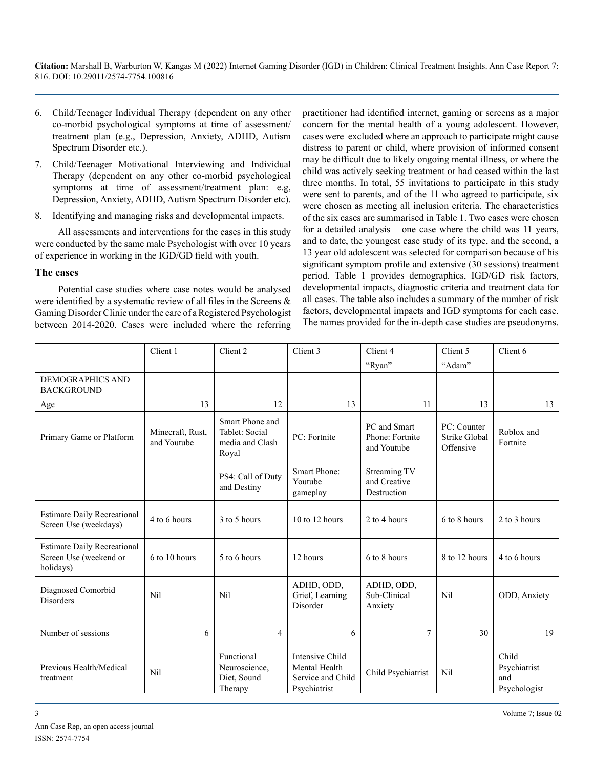- 6. Child/Teenager Individual Therapy (dependent on any other co-morbid psychological symptoms at time of assessment/ treatment plan (e.g., Depression, Anxiety, ADHD, Autism Spectrum Disorder etc.).
- 7. Child/Teenager Motivational Interviewing and Individual Therapy (dependent on any other co-morbid psychological symptoms at time of assessment/treatment plan: e.g, Depression, Anxiety, ADHD, Autism Spectrum Disorder etc).
- 8. Identifying and managing risks and developmental impacts.

All assessments and interventions for the cases in this study were conducted by the same male Psychologist with over 10 years of experience in working in the IGD/GD field with youth.

#### **The cases**

Potential case studies where case notes would be analysed were identified by a systematic review of all files in the Screens & Gaming Disorder Clinic under the care of a Registered Psychologist between 2014-2020. Cases were included where the referring

practitioner had identified internet, gaming or screens as a major concern for the mental health of a young adolescent. However, cases were excluded where an approach to participate might cause distress to parent or child, where provision of informed consent may be difficult due to likely ongoing mental illness, or where the child was actively seeking treatment or had ceased within the last three months. In total, 55 invitations to participate in this study were sent to parents, and of the 11 who agreed to participate, six were chosen as meeting all inclusion criteria. The characteristics of the six cases are summarised in Table 1. Two cases were chosen for a detailed analysis – one case where the child was 11 years, and to date, the youngest case study of its type, and the second, a 13 year old adolescent was selected for comparison because of his significant symptom profile and extensive (30 sessions) treatment period. Table 1 provides demographics, IGD/GD risk factors, developmental impacts, diagnostic criteria and treatment data for all cases. The table also includes a summary of the number of risk factors, developmental impacts and IGD symptoms for each case. The names provided for the in-depth case studies are pseudonyms.

|                                                                           | Client 1                        | Client 2                                                      | Client 3                                                                     | Client 4                                       | Client 5                                  | Client 6                                     |
|---------------------------------------------------------------------------|---------------------------------|---------------------------------------------------------------|------------------------------------------------------------------------------|------------------------------------------------|-------------------------------------------|----------------------------------------------|
|                                                                           |                                 |                                                               |                                                                              | "Ryan"                                         | "Adam"                                    |                                              |
| <b>DEMOGRAPHICS AND</b><br><b>BACKGROUND</b>                              |                                 |                                                               |                                                                              |                                                |                                           |                                              |
| Age                                                                       | 13                              | 12                                                            | 13                                                                           | 11                                             | 13                                        | 13                                           |
| Primary Game or Platform                                                  | Minecraft, Rust,<br>and Youtube | Smart Phone and<br>Tablet: Social<br>media and Clash<br>Royal | PC: Fortnite                                                                 | PC and Smart<br>Phone: Fortnite<br>and Youtube | PC: Counter<br>Strike Global<br>Offensive | Roblox and<br>Fortnite                       |
|                                                                           |                                 | PS4: Call of Duty<br>and Destiny                              | Smart Phone:<br>Youtube<br>gameplay                                          | Streaming TV<br>and Creative<br>Destruction    |                                           |                                              |
| <b>Estimate Daily Recreational</b><br>Screen Use (weekdays)               | 4 to 6 hours                    | 3 to 5 hours                                                  | $10$ to $12$ hours                                                           | 2 to 4 hours                                   | 6 to 8 hours                              | 2 to 3 hours                                 |
| <b>Estimate Daily Recreational</b><br>Screen Use (weekend or<br>holidays) | 6 to 10 hours                   | 5 to 6 hours                                                  | 12 hours                                                                     | 6 to 8 hours                                   | 8 to 12 hours                             | 4 to 6 hours                                 |
| Diagnosed Comorbid<br><b>Disorders</b>                                    | <b>Nil</b>                      | Nil                                                           | ADHD, ODD,<br>Grief, Learning<br>Disorder                                    | ADHD, ODD,<br>Sub-Clinical<br>Anxiety          | Nil                                       | ODD, Anxiety                                 |
| Number of sessions                                                        | 6                               | $\overline{4}$                                                | 6                                                                            | 7                                              | 30                                        | 19                                           |
| Previous Health/Medical<br>treatment                                      | <b>Nil</b>                      | Functional<br>Neuroscience,<br>Diet, Sound<br>Therapy         | <b>Intensive Child</b><br>Mental Health<br>Service and Child<br>Psychiatrist | Child Psychiatrist                             | Nil                                       | Child<br>Psychiatrist<br>and<br>Psychologist |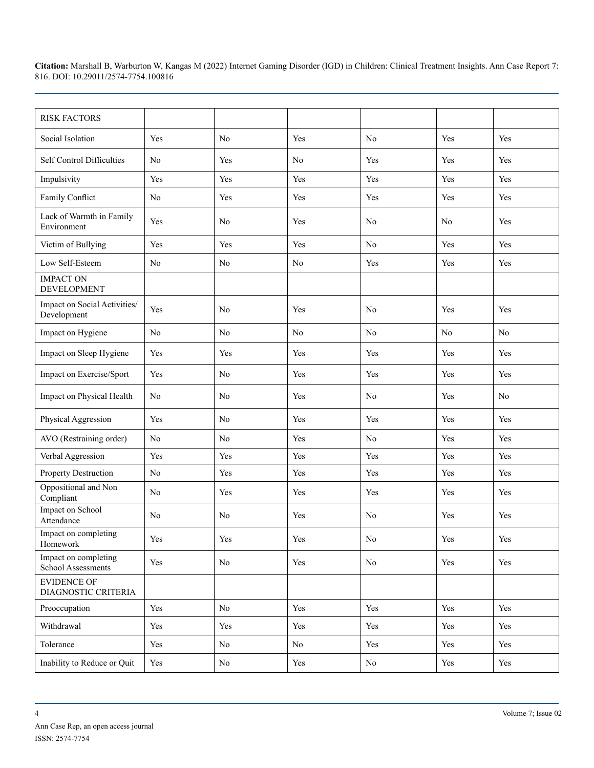| <b>RISK FACTORS</b>                         |                |                |          |                |                |     |
|---------------------------------------------|----------------|----------------|----------|----------------|----------------|-----|
| Social Isolation                            | Yes            | N <sub>0</sub> | Yes      | No             | Yes            | Yes |
| Self Control Difficulties                   | No             | Yes            | No       | Yes            | Yes            | Yes |
| Impulsivity                                 | Yes            | Yes            | Yes      | Yes            | Yes            | Yes |
| Family Conflict                             | No             | Yes            | Yes      | Yes            | Yes            | Yes |
| Lack of Warmth in Family<br>Environment     | Yes            | No             | Yes      | N <sub>0</sub> | N <sub>0</sub> | Yes |
| Victim of Bullying                          | Yes            | Yes            | Yes      | No             | Yes            | Yes |
| Low Self-Esteem                             | No             | No             | No       | Yes            | Yes            | Yes |
| <b>IMPACT ON</b><br><b>DEVELOPMENT</b>      |                |                |          |                |                |     |
| Impact on Social Activities/<br>Development | Yes            | N <sub>0</sub> | Yes      | No             | Yes            | Yes |
| Impact on Hygiene                           | No             | No             | No       | No             | No             | No  |
| Impact on Sleep Hygiene                     | Yes            | Yes            | Yes      | Yes            | Yes            | Yes |
| Impact on Exercise/Sport                    | Yes            | No             | Yes      | Yes            | Yes            | Yes |
| Impact on Physical Health                   | N <sub>0</sub> | No             | Yes      | N <sub>0</sub> | Yes            | No  |
| Physical Aggression                         | Yes            | No             | Yes      | Yes            | Yes            | Yes |
| AVO (Restraining order)                     | $\rm No$       | No             | Yes      | N <sub>0</sub> | Yes            | Yes |
| Verbal Aggression                           | Yes            | Yes            | Yes      | Yes            | Yes            | Yes |
| Property Destruction                        | $\rm No$       | Yes            | Yes      | Yes            | Yes            | Yes |
| Oppositional and Non<br>Compliant           | No             | Yes            | Yes      | Yes            | Yes            | Yes |
| Impact on School<br>Attendance              | No             | No             | Yes      | N <sub>0</sub> | Yes            | Yes |
| Impact on completing<br>Homework            | Yes            | Yes            | Yes      | $\rm No$       | Yes            | Yes |
| Impact on completing<br>School Assessments  | Yes            | $\rm No$       | Yes      | $\rm No$       | Yes            | Yes |
| <b>EVIDENCE OF</b><br>DIAGNOSTIC CRITERIA   |                |                |          |                |                |     |
| Preoccupation                               | Yes            | No             | Yes      | Yes            | Yes            | Yes |
| Withdrawal                                  | Yes            | Yes            | Yes      | Yes            | Yes            | Yes |
| Tolerance                                   | Yes            | No             | $\rm No$ | Yes            | Yes            | Yes |
| Inability to Reduce or Quit                 | Yes            | No             | Yes      | No             | Yes            | Yes |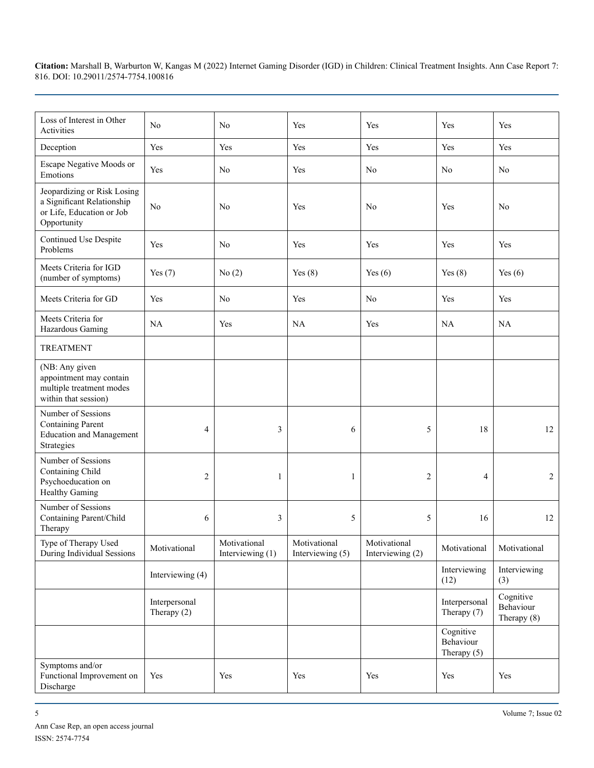| Loss of Interest in Other<br>Activities                                                               | No                             | No                               | Yes                              | Yes                              | Yes                                     | Yes                                     |
|-------------------------------------------------------------------------------------------------------|--------------------------------|----------------------------------|----------------------------------|----------------------------------|-----------------------------------------|-----------------------------------------|
| Deception                                                                                             | Yes                            | Yes                              | Yes                              | Yes                              | Yes                                     | Yes                                     |
| Escape Negative Moods or<br>Emotions                                                                  | Yes                            | No                               | Yes                              | No                               | N <sub>0</sub>                          | N <sub>0</sub>                          |
| Jeopardizing or Risk Losing<br>a Significant Relationship<br>or Life, Education or Job<br>Opportunity | No                             | N <sub>0</sub>                   | Yes                              | N <sub>0</sub>                   | Yes                                     | No                                      |
| Continued Use Despite<br>Problems                                                                     | Yes                            | No                               | Yes                              | Yes                              | Yes                                     | Yes                                     |
| Meets Criteria for IGD<br>(number of symptoms)                                                        | Yes $(7)$                      | No(2)                            | Yes $(8)$                        | Yes $(6)$                        | Yes $(8)$                               | Yes $(6)$                               |
| Meets Criteria for GD                                                                                 | Yes                            | No                               | Yes                              | N <sub>0</sub>                   | Yes                                     | Yes                                     |
| Meets Criteria for<br>Hazardous Gaming                                                                | <b>NA</b>                      | Yes                              | NA                               | Yes                              | NA                                      | NA                                      |
| <b>TREATMENT</b>                                                                                      |                                |                                  |                                  |                                  |                                         |                                         |
| (NB: Any given<br>appointment may contain<br>multiple treatment modes<br>within that session)         |                                |                                  |                                  |                                  |                                         |                                         |
| Number of Sessions<br><b>Containing Parent</b><br><b>Education and Management</b><br>Strategies       | 4                              | 3                                | 6                                | 5                                | 18                                      | 12                                      |
| Number of Sessions<br>Containing Child<br>Psychoeducation on<br><b>Healthy Gaming</b>                 | 2                              | $\mathbf{1}$                     | $\mathbf{1}$                     | $\overline{c}$                   | 4                                       | $\overline{c}$                          |
| Number of Sessions<br>Containing Parent/Child<br>Therapy                                              | 6                              | 3                                | 5                                | 5                                | 16                                      | 12                                      |
| Type of Therapy Used<br>During Individual Sessions                                                    | Motivational                   | Motivational<br>Interviewing (1) | Motivational<br>Interviewing (5) | Motivational<br>Interviewing (2) | Motivational                            | Motivational                            |
|                                                                                                       | Interviewing (4)               |                                  |                                  |                                  | Interviewing<br>(12)                    | Interviewing<br>(3)                     |
|                                                                                                       | Interpersonal<br>Therapy $(2)$ |                                  |                                  |                                  | Interpersonal<br>Therapy (7)            | Cognitive<br>Behaviour<br>Therapy $(8)$ |
|                                                                                                       |                                |                                  |                                  |                                  | Cognitive<br>Behaviour<br>Therapy $(5)$ |                                         |
| Symptoms and/or<br>Functional Improvement on<br>Discharge                                             | Yes                            | Yes                              | Yes                              | Yes                              | Yes                                     | Yes                                     |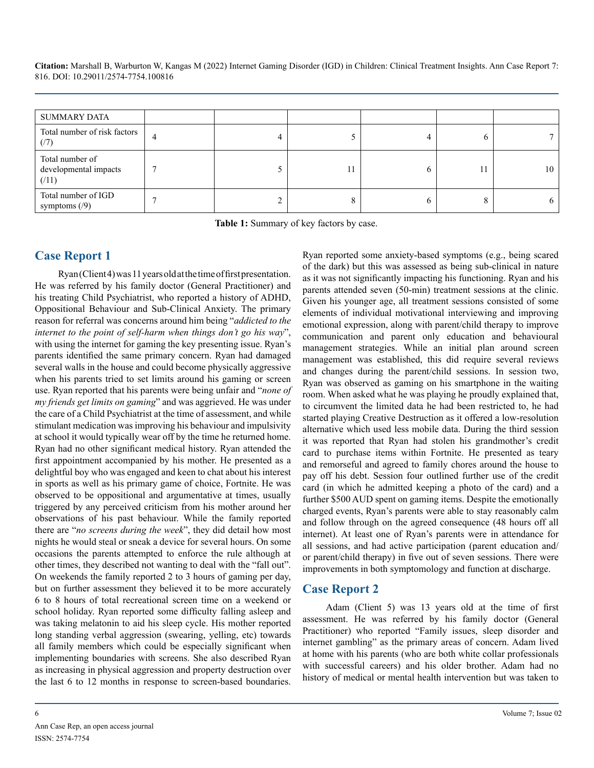| SUMMARY DATA                                     |  |   |    |    |
|--------------------------------------------------|--|---|----|----|
| Total number of risk factors<br>(7)              |  |   |    |    |
| Total number of<br>developmental impacts<br>(11) |  | b | 11 | 10 |
| Total number of IGD<br>symptoms $(9)$            |  | O | 8  |    |

**Table 1:** Summary of key factors by case.

# **Case Report 1**

Ryan (Client 4) was 11 years old at the time of first presentation. He was referred by his family doctor (General Practitioner) and his treating Child Psychiatrist, who reported a history of ADHD, Oppositional Behaviour and Sub-Clinical Anxiety. The primary reason for referral was concerns around him being "*addicted to the internet to the point of self-harm when things don't go his way*", with using the internet for gaming the key presenting issue. Ryan's parents identified the same primary concern. Ryan had damaged several walls in the house and could become physically aggressive when his parents tried to set limits around his gaming or screen use. Ryan reported that his parents were being unfair and "*none of my friends get limits on gaming*" and was aggrieved. He was under the care of a Child Psychiatrist at the time of assessment, and while stimulant medication was improving his behaviour and impulsivity at school it would typically wear off by the time he returned home. Ryan had no other significant medical history. Ryan attended the first appointment accompanied by his mother. He presented as a delightful boy who was engaged and keen to chat about his interest in sports as well as his primary game of choice, Fortnite. He was observed to be oppositional and argumentative at times, usually triggered by any perceived criticism from his mother around her observations of his past behaviour. While the family reported there are "*no screens during the week*", they did detail how most nights he would steal or sneak a device for several hours. On some occasions the parents attempted to enforce the rule although at other times, they described not wanting to deal with the "fall out". On weekends the family reported 2 to 3 hours of gaming per day, but on further assessment they believed it to be more accurately 6 to 8 hours of total recreational screen time on a weekend or school holiday. Ryan reported some difficulty falling asleep and was taking melatonin to aid his sleep cycle. His mother reported long standing verbal aggression (swearing, yelling, etc) towards all family members which could be especially significant when implementing boundaries with screens. She also described Ryan as increasing in physical aggression and property destruction over the last 6 to 12 months in response to screen-based boundaries.

Ryan reported some anxiety-based symptoms (e.g., being scared of the dark) but this was assessed as being sub-clinical in nature as it was not significantly impacting his functioning. Ryan and his parents attended seven (50-min) treatment sessions at the clinic. Given his younger age, all treatment sessions consisted of some elements of individual motivational interviewing and improving emotional expression, along with parent/child therapy to improve communication and parent only education and behavioural management strategies. While an initial plan around screen management was established, this did require several reviews and changes during the parent/child sessions. In session two, Ryan was observed as gaming on his smartphone in the waiting room. When asked what he was playing he proudly explained that, to circumvent the limited data he had been restricted to, he had started playing Creative Destruction as it offered a low-resolution alternative which used less mobile data. During the third session it was reported that Ryan had stolen his grandmother's credit card to purchase items within Fortnite. He presented as teary and remorseful and agreed to family chores around the house to pay off his debt. Session four outlined further use of the credit card (in which he admitted keeping a photo of the card) and a further \$500 AUD spent on gaming items. Despite the emotionally charged events, Ryan's parents were able to stay reasonably calm and follow through on the agreed consequence (48 hours off all internet). At least one of Ryan's parents were in attendance for all sessions, and had active participation (parent education and/ or parent/child therapy) in five out of seven sessions. There were improvements in both symptomology and function at discharge.

# **Case Report 2**

Adam (Client 5) was 13 years old at the time of first assessment. He was referred by his family doctor (General Practitioner) who reported "Family issues, sleep disorder and internet gambling" as the primary areas of concern. Adam lived at home with his parents (who are both white collar professionals with successful careers) and his older brother. Adam had no history of medical or mental health intervention but was taken to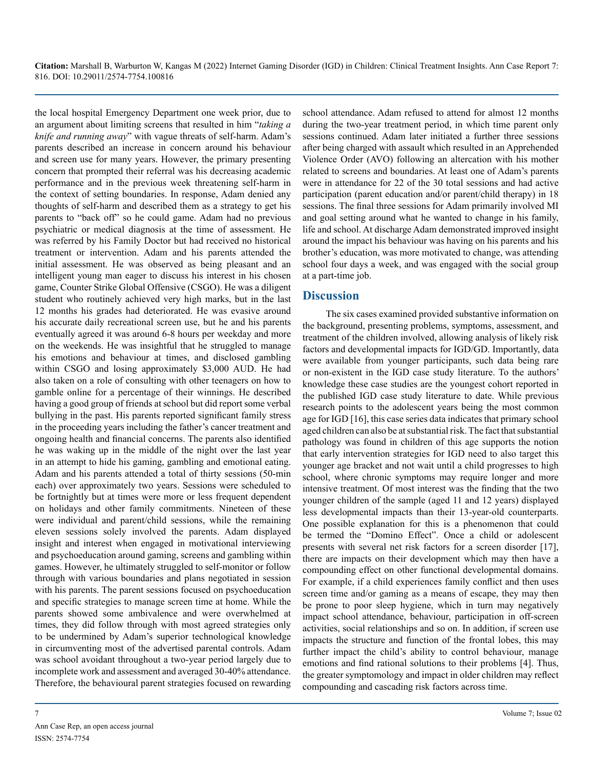the local hospital Emergency Department one week prior, due to an argument about limiting screens that resulted in him "*taking a knife and running away*" with vague threats of self-harm. Adam's parents described an increase in concern around his behaviour and screen use for many years. However, the primary presenting concern that prompted their referral was his decreasing academic performance and in the previous week threatening self-harm in the context of setting boundaries. In response, Adam denied any thoughts of self-harm and described them as a strategy to get his parents to "back off" so he could game. Adam had no previous psychiatric or medical diagnosis at the time of assessment. He was referred by his Family Doctor but had received no historical treatment or intervention. Adam and his parents attended the initial assessment. He was observed as being pleasant and an intelligent young man eager to discuss his interest in his chosen game, Counter Strike Global Offensive (CSGO). He was a diligent student who routinely achieved very high marks, but in the last 12 months his grades had deteriorated. He was evasive around his accurate daily recreational screen use, but he and his parents eventually agreed it was around 6-8 hours per weekday and more on the weekends. He was insightful that he struggled to manage his emotions and behaviour at times, and disclosed gambling within CSGO and losing approximately \$3,000 AUD. He had also taken on a role of consulting with other teenagers on how to gamble online for a percentage of their winnings. He described having a good group of friends at school but did report some verbal bullying in the past. His parents reported significant family stress in the proceeding years including the father's cancer treatment and ongoing health and financial concerns. The parents also identified he was waking up in the middle of the night over the last year in an attempt to hide his gaming, gambling and emotional eating. Adam and his parents attended a total of thirty sessions (50-min each) over approximately two years. Sessions were scheduled to be fortnightly but at times were more or less frequent dependent on holidays and other family commitments. Nineteen of these were individual and parent/child sessions, while the remaining eleven sessions solely involved the parents. Adam displayed insight and interest when engaged in motivational interviewing and psychoeducation around gaming, screens and gambling within games. However, he ultimately struggled to self-monitor or follow through with various boundaries and plans negotiated in session with his parents. The parent sessions focused on psychoeducation and specific strategies to manage screen time at home. While the parents showed some ambivalence and were overwhelmed at times, they did follow through with most agreed strategies only to be undermined by Adam's superior technological knowledge in circumventing most of the advertised parental controls. Adam was school avoidant throughout a two-year period largely due to incomplete work and assessment and averaged 30-40% attendance. Therefore, the behavioural parent strategies focused on rewarding

school attendance. Adam refused to attend for almost 12 months during the two-year treatment period, in which time parent only sessions continued. Adam later initiated a further three sessions after being charged with assault which resulted in an Apprehended Violence Order (AVO) following an altercation with his mother related to screens and boundaries. At least one of Adam's parents were in attendance for 22 of the 30 total sessions and had active participation (parent education and/or parent/child therapy) in 18 sessions. The final three sessions for Adam primarily involved MI and goal setting around what he wanted to change in his family, life and school. At discharge Adam demonstrated improved insight around the impact his behaviour was having on his parents and his brother's education, was more motivated to change, was attending school four days a week, and was engaged with the social group at a part-time job.

## **Discussion**

The six cases examined provided substantive information on the background, presenting problems, symptoms, assessment, and treatment of the children involved, allowing analysis of likely risk factors and developmental impacts for IGD/GD. Importantly, data were available from younger participants, such data being rare or non-existent in the IGD case study literature. To the authors' knowledge these case studies are the youngest cohort reported in the published IGD case study literature to date. While previous research points to the adolescent years being the most common age for IGD [16], this case series data indicates that primary school aged children can also be at substantial risk. The fact that substantial pathology was found in children of this age supports the notion that early intervention strategies for IGD need to also target this younger age bracket and not wait until a child progresses to high school, where chronic symptoms may require longer and more intensive treatment. Of most interest was the finding that the two younger children of the sample (aged 11 and 12 years) displayed less developmental impacts than their 13-year-old counterparts. One possible explanation for this is a phenomenon that could be termed the "Domino Effect". Once a child or adolescent presents with several net risk factors for a screen disorder [17], there are impacts on their development which may then have a compounding effect on other functional developmental domains. For example, if a child experiences family conflict and then uses screen time and/or gaming as a means of escape, they may then be prone to poor sleep hygiene, which in turn may negatively impact school attendance, behaviour, participation in off-screen activities, social relationships and so on. In addition, if screen use impacts the structure and function of the frontal lobes, this may further impact the child's ability to control behaviour, manage emotions and find rational solutions to their problems [4]. Thus, the greater symptomology and impact in older children may reflect compounding and cascading risk factors across time.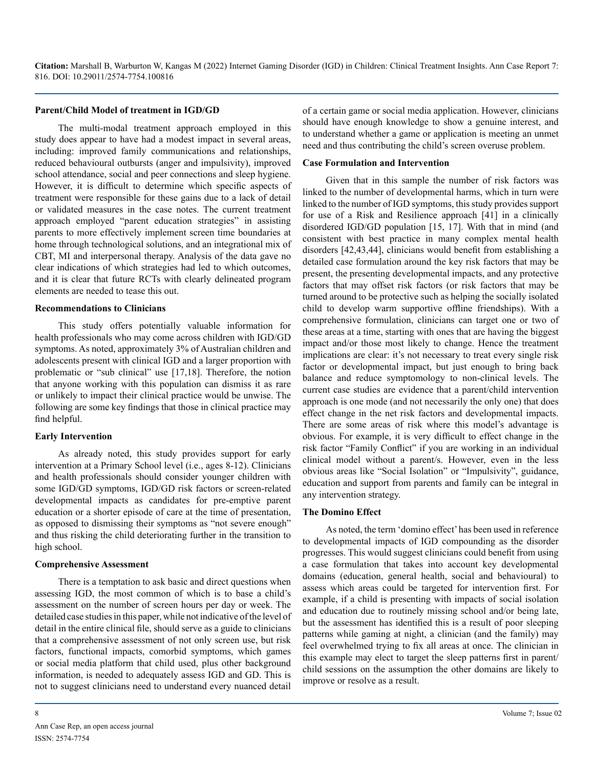#### **Parent/Child Model of treatment in IGD/GD**

The multi-modal treatment approach employed in this study does appear to have had a modest impact in several areas, including: improved family communications and relationships, reduced behavioural outbursts (anger and impulsivity), improved school attendance, social and peer connections and sleep hygiene. However, it is difficult to determine which specific aspects of treatment were responsible for these gains due to a lack of detail or validated measures in the case notes. The current treatment approach employed "parent education strategies" in assisting parents to more effectively implement screen time boundaries at home through technological solutions, and an integrational mix of CBT, MI and interpersonal therapy. Analysis of the data gave no clear indications of which strategies had led to which outcomes, and it is clear that future RCTs with clearly delineated program elements are needed to tease this out.

#### **Recommendations to Clinicians**

This study offers potentially valuable information for health professionals who may come across children with IGD/GD symptoms. As noted, approximately 3% of Australian children and adolescents present with clinical IGD and a larger proportion with problematic or "sub clinical" use [17,18]. Therefore, the notion that anyone working with this population can dismiss it as rare or unlikely to impact their clinical practice would be unwise. The following are some key findings that those in clinical practice may find helpful.

#### **Early Intervention**

As already noted, this study provides support for early intervention at a Primary School level (i.e., ages 8-12). Clinicians and health professionals should consider younger children with some IGD/GD symptoms, IGD/GD risk factors or screen-related developmental impacts as candidates for pre-emptive parent education or a shorter episode of care at the time of presentation, as opposed to dismissing their symptoms as "not severe enough" and thus risking the child deteriorating further in the transition to high school.

#### **Comprehensive Assessment**

There is a temptation to ask basic and direct questions when assessing IGD, the most common of which is to base a child's assessment on the number of screen hours per day or week. The detailed case studies in this paper, while not indicative of the level of detail in the entire clinical file, should serve as a guide to clinicians that a comprehensive assessment of not only screen use, but risk factors, functional impacts, comorbid symptoms, which games or social media platform that child used, plus other background information, is needed to adequately assess IGD and GD. This is not to suggest clinicians need to understand every nuanced detail

of a certain game or social media application. However, clinicians should have enough knowledge to show a genuine interest, and to understand whether a game or application is meeting an unmet need and thus contributing the child's screen overuse problem.

#### **Case Formulation and Intervention**

Given that in this sample the number of risk factors was linked to the number of developmental harms, which in turn were linked to the number of IGD symptoms, this study provides support for use of a Risk and Resilience approach [41] in a clinically disordered IGD/GD population [15, 17]. With that in mind (and consistent with best practice in many complex mental health disorders [42,43,44], clinicians would benefit from establishing a detailed case formulation around the key risk factors that may be present, the presenting developmental impacts, and any protective factors that may offset risk factors (or risk factors that may be turned around to be protective such as helping the socially isolated child to develop warm supportive offline friendships). With a comprehensive formulation, clinicians can target one or two of these areas at a time, starting with ones that are having the biggest impact and/or those most likely to change. Hence the treatment implications are clear: it's not necessary to treat every single risk factor or developmental impact, but just enough to bring back balance and reduce symptomology to non-clinical levels. The current case studies are evidence that a parent/child intervention approach is one mode (and not necessarily the only one) that does effect change in the net risk factors and developmental impacts. There are some areas of risk where this model's advantage is obvious. For example, it is very difficult to effect change in the risk factor "Family Conflict" if you are working in an individual clinical model without a parent/s. However, even in the less obvious areas like "Social Isolation" or "Impulsivity", guidance, education and support from parents and family can be integral in any intervention strategy.

#### **The Domino Effect**

As noted, the term 'domino effect' has been used in reference to developmental impacts of IGD compounding as the disorder progresses. This would suggest clinicians could benefit from using a case formulation that takes into account key developmental domains (education, general health, social and behavioural) to assess which areas could be targeted for intervention first. For example, if a child is presenting with impacts of social isolation and education due to routinely missing school and/or being late, but the assessment has identified this is a result of poor sleeping patterns while gaming at night, a clinician (and the family) may feel overwhelmed trying to fix all areas at once. The clinician in this example may elect to target the sleep patterns first in parent/ child sessions on the assumption the other domains are likely to improve or resolve as a result.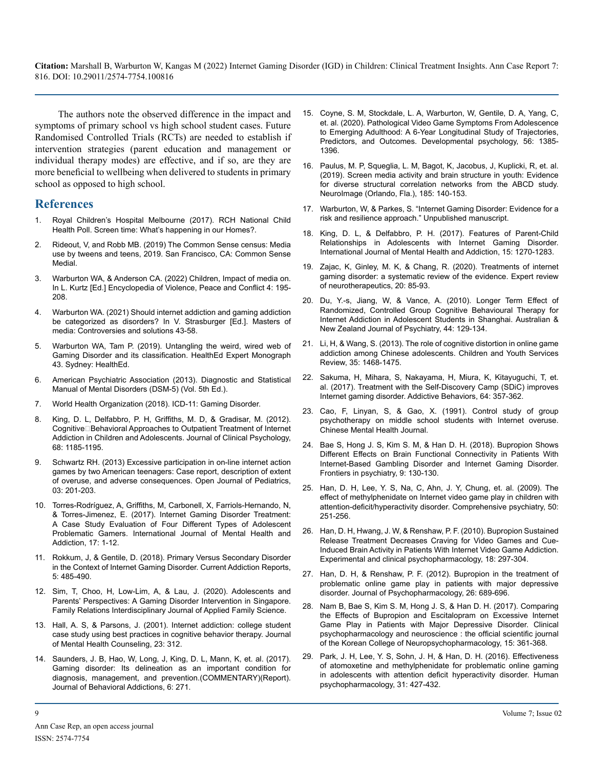The authors note the observed difference in the impact and symptoms of primary school vs high school student cases. Future Randomised Controlled Trials (RCTs) are needed to establish if intervention strategies (parent education and management or individual therapy modes) are effective, and if so, are they are more beneficial to wellbeing when delivered to students in primary school as opposed to high school.

### **References**

- 1. [Royal Children's Hospital Melbourne \(2017\). RCH National Child](file:///C:/Users/phani/Desktop/1.%09https:/www.rchpoll.org.au/polls/screen-time-whats-happening-in-our-homes/)  [Health Poll. Screen time: What's happening in our Homes?.](file:///C:/Users/phani/Desktop/1.%09https:/www.rchpoll.org.au/polls/screen-time-whats-happening-in-our-homes/)
- 2. Rideout, V, and Robb MB. (2019) The Common Sense census: Media use by tweens and teens, 2019. San Francisco, CA: Common Sense Medial.
- 3. [Warburton WA, & Anderson CA. \(2022\) Children, Impact of media on.](https://dx.doi.org/10.1016/B978-0-12- 820195-4.00026-1)  [In L. Kurtz \[Ed.\] Encyclopedia of Violence, Peace and Conflict 4: 195-](https://dx.doi.org/10.1016/B978-0-12- 820195-4.00026-1) [208.](https://dx.doi.org/10.1016/B978-0-12- 820195-4.00026-1)
- Warburton WA. (2021) Should internet addiction and gaming addiction be categorized as disorders? In V. Strasburger [Ed.]. Masters of media: Controversies and solutions 43-58.
- 5. [Warburton WA, Tam P. \(2019\). Untangling the weird, wired web of](https://www.healthed.com.au/wp-content/uploads/2019/09/043-Tam-Warburton-Gaming-Disorder-Final.pdf) [Gaming Disorder and its classification. HealthEd Expert Monograph](https://www.healthed.com.au/wp-content/uploads/2019/09/043-Tam-Warburton-Gaming-Disorder-Final.pdf)  [43. Sydney: HealthEd.](https://www.healthed.com.au/wp-content/uploads/2019/09/043-Tam-Warburton-Gaming-Disorder-Final.pdf)
- 6. American Psychiatric Association (2013). Diagnostic and Statistical Manual of Mental Disorders (DSM-5) (Vol. 5th Ed.).
- 7. [World Health Organization \(2018\). ICD-11: Gaming Disorder.](http://www.who.int/features/qa/gaming-disorder/e)
- 8. King, D. L, Delfabbro, P. H, Griffiths, M. D, & Gradisar, M. (2012). Cognitive□Behavioral Approaches to Outpatient Treatment of Internet Addiction in Children and Adolescents. Journal of Clinical Psychology, 68: 1185-1195.
- 9. Schwartz RH. (2013) Excessive participation in on-line internet action games by two American teenagers: Case report, description of extent of overuse, and adverse consequences. Open Journal of Pediatrics, 03: 201-203.
- 10. [Torres-Rodríguez, A, Griffiths, M, Carbonell, X, Farriols-Hernando, N,](https://link.springer.com/article/10.1007/s11469-017-9845-9)  [& Torres-Jimenez, E. \(2017\). Internet Gaming Disorder Treatment:](https://link.springer.com/article/10.1007/s11469-017-9845-9)  [A Case Study Evaluation of Four Different Types of Adolescent](https://link.springer.com/article/10.1007/s11469-017-9845-9)  [Problematic Gamers. International Journal of Mental Health and](https://link.springer.com/article/10.1007/s11469-017-9845-9)  [Addiction, 17: 1-12.](https://link.springer.com/article/10.1007/s11469-017-9845-9)
- 11. Rokkum, J, & Gentile, D. (2018). Primary Versus Secondary Disorder in the Context of Internet Gaming Disorder. Current Addiction Reports, 5: 485-490.
- 12. Sim, T, Choo, H, Low-Lim, A, & Lau, J. (2020). Adolescents and Parents' Perspectives: A Gaming Disorder Intervention in Singapore. Family Relations Interdisciplinary Journal of Applied Family Science.
- 13. [Hall, A. S, & Parsons, J. \(2001\). Internet addiction: college student](https://go.gale.com/ps/i.do?p=AONE&u=googlescholar&id=GALE|A80553851&v=2.1&it=r&sid=AONE&asid=886360a9)  [case study using best practices in cognitive behavior therapy. Journal](https://go.gale.com/ps/i.do?p=AONE&u=googlescholar&id=GALE|A80553851&v=2.1&it=r&sid=AONE&asid=886360a9)  [of Mental Health Counseling, 23: 312.](https://go.gale.com/ps/i.do?p=AONE&u=googlescholar&id=GALE|A80553851&v=2.1&it=r&sid=AONE&asid=886360a9)
- 14. Saunders, J. B, Hao, W, Long, J, King, D. L, Mann, K, et. al. (2017). Gaming disorder: Its delineation as an important condition for diagnosis, management, and prevention.(COMMENTARY)(Report). Journal of Behavioral Addictions, 6: 271.
- 15. [Coyne, S. M, Stockdale, L. A, Warburton, W, Gentile, D. A, Yang, C,](https://doi.apa.org/doiLanding?doi=10.1037%2Fdev0000939)  [et. al. \(2020\). Pathological Video Game Symptoms From Adolescence](https://doi.apa.org/doiLanding?doi=10.1037%2Fdev0000939)  [to Emerging Adulthood: A 6-Year Longitudinal Study of Trajectories,](https://doi.apa.org/doiLanding?doi=10.1037%2Fdev0000939)  [Predictors, and Outcomes. Developmental psychology, 56: 1385-](https://doi.apa.org/doiLanding?doi=10.1037%2Fdev0000939) [1396.](https://doi.apa.org/doiLanding?doi=10.1037%2Fdev0000939)
- 16. Paulus, M. P, Squeglia, L. M, Bagot, K, Jacobus, J, Kuplicki, R, et. al. (2019). Screen media activity and brain structure in youth: Evidence for diverse structural correlation networks from the ABCD study. NeuroImage (Orlando, Fla.), 185: 140-153.
- 17. Warburton, W, & Parkes, S. "Internet Gaming Disorder: Evidence for a risk and resilience approach." Unpublished manuscript.
- 18. [King, D. L, & Delfabbro, P. H. \(2017\). Features of Parent-Child](https://researchnow.flinders.edu.au/en/publications/features-of-parent-child-relationships-in-adolescents-with-intern)  [Relationships in Adolescents with Internet Gaming Disorder.](https://researchnow.flinders.edu.au/en/publications/features-of-parent-child-relationships-in-adolescents-with-intern)  [International Journal of Mental Health and Addiction, 15: 1270-1283.](https://researchnow.flinders.edu.au/en/publications/features-of-parent-child-relationships-in-adolescents-with-intern)
- 19. [Zajac, K, Ginley, M. K, & Chang, R. \(2020\). Treatments of internet](https://pubmed.ncbi.nlm.nih.gov/31544539/)  [gaming disorder: a systematic review of the evidence. Expert review](https://pubmed.ncbi.nlm.nih.gov/31544539/)  [of neurotherapeutics, 20: 85-93.](https://pubmed.ncbi.nlm.nih.gov/31544539/)
- 20. [Du, Y.-s, Jiang, W, & Vance, A. \(2010\). Longer Term Effect of](https://pubmed.ncbi.nlm.nih.gov/20113301/)  [Randomized, Controlled Group Cognitive Behavioural Therapy for](https://pubmed.ncbi.nlm.nih.gov/20113301/)  [Internet Addiction in Adolescent Students in Shanghai. Australian &](https://pubmed.ncbi.nlm.nih.gov/20113301/)  [New Zealand Journal of Psychiatry, 44: 129-134.](https://pubmed.ncbi.nlm.nih.gov/20113301/)
- 21. Li, H, & Wang, S. (2013). The role of cognitive distortion in online game addiction among Chinese adolescents. Children and Youth Services Review, 35: 1468-1475.
- 22. Sakuma, H, Mihara, S, Nakayama, H, Miura, K, Kitayuguchi, T, et. al. (2017). Treatment with the Self-Discovery Camp (SDiC) improves Internet gaming disorder. Addictive Behaviors, 64: 357-362.
- 23. Cao, F, Linyan, S, & Gao, X. (1991). Control study of group psychotherapy on middle school students with Internet overuse. Chinese Mental Health Journal.
- 24. [Bae S, Hong J. S, Kim S. M, & Han D. H. \(2018\). Bupropion Shows](https://pubmed.ncbi.nlm.nih.gov/29692743/)  [Different Effects on Brain Functional Connectivity in Patients With](https://pubmed.ncbi.nlm.nih.gov/29692743/)  [Internet-Based Gambling Disorder and Internet Gaming Disorder.](https://pubmed.ncbi.nlm.nih.gov/29692743/)  [Frontiers in psychiatry, 9: 130-130.](https://pubmed.ncbi.nlm.nih.gov/29692743/)
- 25. Han, D. H, Lee, Y. S, Na, C, Ahn, J. Y, Chung, et. al. (2009). The effect of methylphenidate on Internet video game play in children with attention-deficit/hyperactivity disorder. Comprehensive psychiatry, 50: 251-256.
- 26. [Han, D. H, Hwang, J. W, & Renshaw, P. F. \(2010\). Bupropion Sustained](https://pubmed.ncbi.nlm.nih.gov/20695685/)  [Release Treatment Decreases Craving for Video Games and Cue-](https://pubmed.ncbi.nlm.nih.gov/20695685/)[Induced Brain Activity in Patients With Internet Video Game Addiction.](https://pubmed.ncbi.nlm.nih.gov/20695685/)  [Experimental and clinical psychopharmacology, 18: 297-304.](https://pubmed.ncbi.nlm.nih.gov/20695685/)
- 27. Han, D. H, & Renshaw, P. F. (2012). Bupropion in the treatment of problematic online game play in patients with major depressive disorder. Journal of Psychopharmacology, 26: 689-696.
- 28. [Nam B, Bae S, Kim S. M, Hong J. S, & Han D. H. \(2017\). Comparing](https://www.ncbi.nlm.nih.gov/pmc/articles/PMC5678483/)  [the Effects of Bupropion and Escitalopram on Excessive Internet](https://www.ncbi.nlm.nih.gov/pmc/articles/PMC5678483/)  [Game Play in Patients with Major Depressive Disorder. Clinical](https://www.ncbi.nlm.nih.gov/pmc/articles/PMC5678483/)  [psychopharmacology and neuroscience : the official scientific journal](https://www.ncbi.nlm.nih.gov/pmc/articles/PMC5678483/)  [of the Korean College of Neuropsychopharmacology, 15: 361-368.](https://www.ncbi.nlm.nih.gov/pmc/articles/PMC5678483/)
- 29. Park, J. H, Lee, Y. S, Sohn, J. H, & Han, D. H. (2016). Effectiveness of atomoxetine and methylphenidate for problematic online gaming in adolescents with attention deficit hyperactivity disorder. Human psychopharmacology, 31: 427-432.